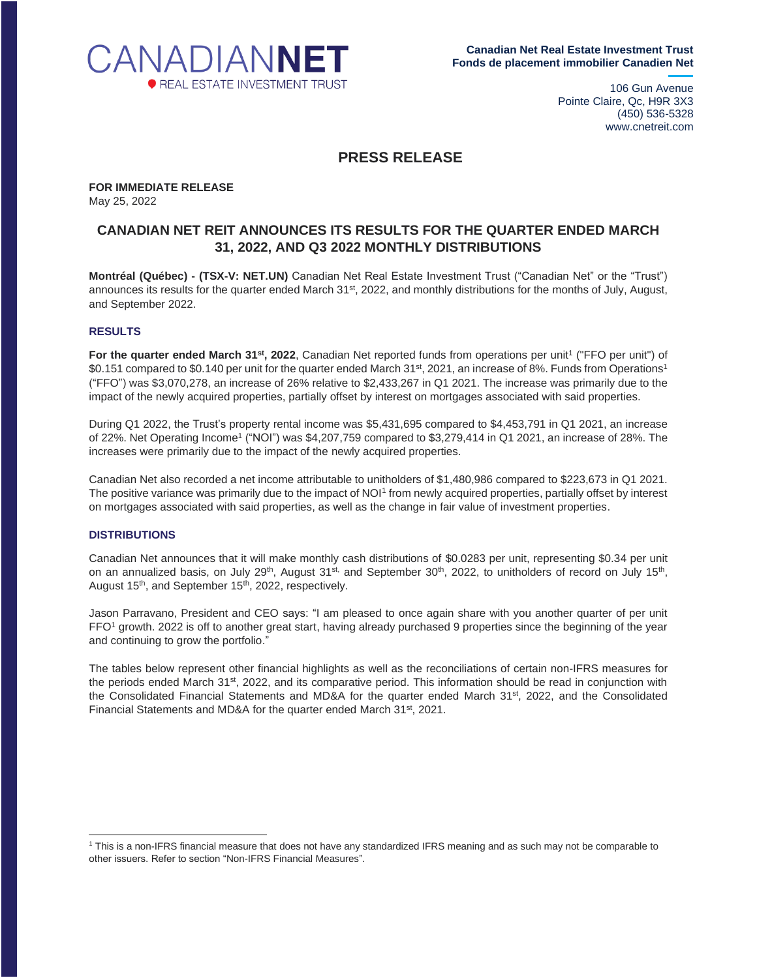

106 Gun Avenue Pointe Claire, Qc, H9R 3X3 (450) 536-5328 www.cnetreit.com

# **PRESS RELEASE**

**FOR IMMEDIATE RELEASE** May 25, 2022

# **CANADIAN NET REIT ANNOUNCES ITS RESULTS FOR THE QUARTER ENDED MARCH 31, 2022, AND Q3 2022 MONTHLY DISTRIBUTIONS**

**Montréal (Québec) - (TSX-V: NET.UN)** Canadian Net Real Estate Investment Trust ("Canadian Net" or the "Trust") announces its results for the quarter ended March 31<sup>st</sup>, 2022, and monthly distributions for the months of July, August, and September 2022.

### **RESULTS**

For the quarter ended March 31<sup>st</sup>, 2022, Canadian Net reported funds from operations per unit<sup>1</sup> ("FFO per unit") of \$0.151 compared to \$0.140 per unit for the quarter ended March 31st, 2021, an increase of 8%. Funds from Operations<sup>1</sup> ("FFO") was \$3,070,278, an increase of 26% relative to \$2,433,267 in Q1 2021. The increase was primarily due to the impact of the newly acquired properties, partially offset by interest on mortgages associated with said properties.

During Q1 2022, the Trust's property rental income was \$5,431,695 compared to \$4,453,791 in Q1 2021, an increase of 22%. Net Operating Income<sup>1</sup> ("NOI") was \$4,207,759 compared to \$3,279,414 in Q1 2021, an increase of 28%. The increases were primarily due to the impact of the newly acquired properties.

Canadian Net also recorded a net income attributable to unitholders of \$1,480,986 compared to \$223,673 in Q1 2021. The positive variance was primarily due to the impact of NOI<sup>1</sup> from newly acquired properties, partially offset by interest on mortgages associated with said properties, as well as the change in fair value of investment properties.

#### **DISTRIBUTIONS**

Canadian Net announces that it will make monthly cash distributions of \$0.0283 per unit, representing \$0.34 per unit on an annualized basis, on July 29<sup>th</sup>, August 31<sup>st,</sup> and September 30<sup>th</sup>, 2022, to unitholders of record on July 15<sup>th</sup>, August 15<sup>th</sup>, and September 15<sup>th</sup>, 2022, respectively.

Jason Parravano, President and CEO says: "I am pleased to once again share with you another quarter of per unit FFO<sup>1</sup> growth. 2022 is off to another great start, having already purchased 9 properties since the beginning of the year and continuing to grow the portfolio."

The tables below represent other financial highlights as well as the reconciliations of certain non-IFRS measures for the periods ended March 31<sup>st</sup>, 2022, and its comparative period. This information should be read in conjunction with the Consolidated Financial Statements and MD&A for the quarter ended March 31<sup>st</sup>, 2022, and the Consolidated Financial Statements and MD&A for the quarter ended March 31<sup>st</sup>, 2021.

<sup>1</sup> This is a non-IFRS financial measure that does not have any standardized IFRS meaning and as such may not be comparable to other issuers. Refer to section "Non-IFRS Financial Measures".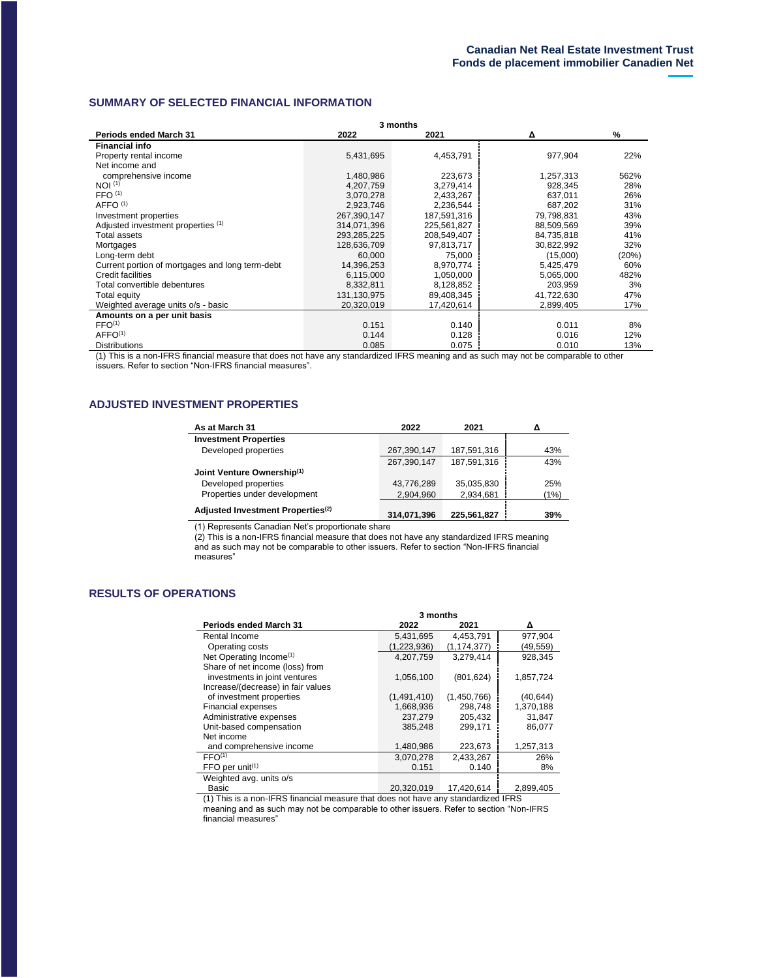## **SUMMARY OF SELECTED FINANCIAL INFORMATION**

| 3 months                                        |             |             |            |       |
|-------------------------------------------------|-------------|-------------|------------|-------|
| <b>Periods ended March 31</b>                   | 2022        | 2021        | Δ          | %     |
| <b>Financial info</b>                           |             |             |            |       |
| Property rental income                          | 5,431,695   | 4,453,791   | 977,904    | 22%   |
| Net income and                                  |             |             |            |       |
| comprehensive income                            | 1,480,986   | 223,673     | 1,257,313  | 562%  |
| NOI <sup>(1)</sup>                              | 4,207,759   | 3,279,414   | 928,345    | 28%   |
| FFO <sup>(1)</sup>                              | 3,070,278   | 2,433,267   | 637.011    | 26%   |
| AFFO <sup>(1)</sup>                             | 2,923,746   | 2,236,544   | 687,202    | 31%   |
| Investment properties                           | 267,390,147 | 187,591,316 | 79.798.831 | 43%   |
| Adjusted investment properties (1)              | 314,071,396 | 225,561,827 | 88,509,569 | 39%   |
| <b>Total assets</b>                             | 293,285,225 | 208,549,407 | 84,735,818 | 41%   |
| Mortgages                                       | 128,636,709 | 97,813,717  | 30,822,992 | 32%   |
| Long-term debt                                  | 60.000      | 75,000      | (15,000)   | (20%) |
| Current portion of mortgages and long term-debt | 14,396,253  | 8,970,774   | 5,425,479  | 60%   |
| Credit facilities                               | 6,115,000   | 1,050,000   | 5,065,000  | 482%  |
| Total convertible debentures                    | 8,332,811   | 8,128,852   | 203,959    | 3%    |
| Total equity                                    | 131,130,975 | 89,408,345  | 41,722,630 | 47%   |
| Weighted average units o/s - basic              | 20,320,019  | 17,420,614  | 2,899,405  | 17%   |
| Amounts on a per unit basis                     |             |             |            |       |
| FFO <sup>(1)</sup>                              | 0.151       | 0.140       | 0.011      | 8%    |
| AFFO <sup>(1)</sup>                             | 0.144       | 0.128       | 0.016      | 12%   |
| <b>Distributions</b>                            | 0.085       | 0.075       | 0.010      | 13%   |

(1) This is a non-IFRS financial measure that does not have any standardized IFRS meaning and as such may not be comparable to other issuers. Refer to section "Non-IFRS financial measures".

### **ADJUSTED INVESTMENT PROPERTIES**

| As at March 31                                | 2022        | 2021        |      |
|-----------------------------------------------|-------------|-------------|------|
| <b>Investment Properties</b>                  |             |             |      |
| Developed properties                          | 267,390,147 | 187,591,316 | 43%  |
|                                               | 267,390,147 | 187,591,316 | 43%  |
| Joint Venture Ownership(1)                    |             |             |      |
| Developed properties                          | 43,776,289  | 35,035,830  | 25%  |
| Properties under development                  | 2,904,960   | 2,934,681   | (1%) |
| Adjusted Investment Properties <sup>(2)</sup> |             |             |      |
|                                               | 314,071,396 | 225,561,827 | 39%  |

(1) Represents Canadian Net's proportionate share

(2) This is a non-IFRS financial measure that does not have any standardized IFRS meaning and as such may not be comparable to other issuers. Refer to section "Non-IFRS financial measures"

# **RESULTS OF OPERATIONS**

|                                            | 3 months    |             |           |  |
|--------------------------------------------|-------------|-------------|-----------|--|
| <b>Periods ended March 31</b>              | 2022        | 2021        | Δ         |  |
| Rental Income                              | 5,431,695   | 4,453,791   | 977,904   |  |
| Operating costs                            | (1,223,936) | (1,174,377) | (49,559)  |  |
| Net Operating Income <sup>(1)</sup>        | 4,207,759   | 3.279.414   | 928,345   |  |
| Share of net income (loss) from            |             |             |           |  |
| investments in joint ventures              | 1,056,100   | (801, 624)  | 1,857,724 |  |
| Increase/(decrease) in fair values         |             |             |           |  |
| of investment properties                   | (1,491,410) | (1,450,766) | (40, 644) |  |
| <b>Financial expenses</b>                  | 1,668,936   | 298,748     | 1,370,188 |  |
| Administrative expenses                    | 237.279     | 205.432     | 31.847    |  |
| Unit-based compensation                    | 385.248     | 299.171     | 86,077    |  |
| Net income                                 |             |             |           |  |
| and comprehensive income                   | 1,480,986   | 223,673     | 1,257,313 |  |
| FFO <sup>(1)</sup>                         | 3,070,278   | 2,433,267   | 26%       |  |
| $FFO$ per unit <sup><math>(1)</math></sup> | 0.151       | 0.140       | 8%        |  |
| Weighted avg. units o/s                    |             |             |           |  |

Basic 20,320,019 17,420,614 2,899,405 (1) This is a non-IFRS financial measure that does not have any standardized IFRS

meaning and as such may not be comparable to other issuers. Refer to section "Non-IFRS financial measures"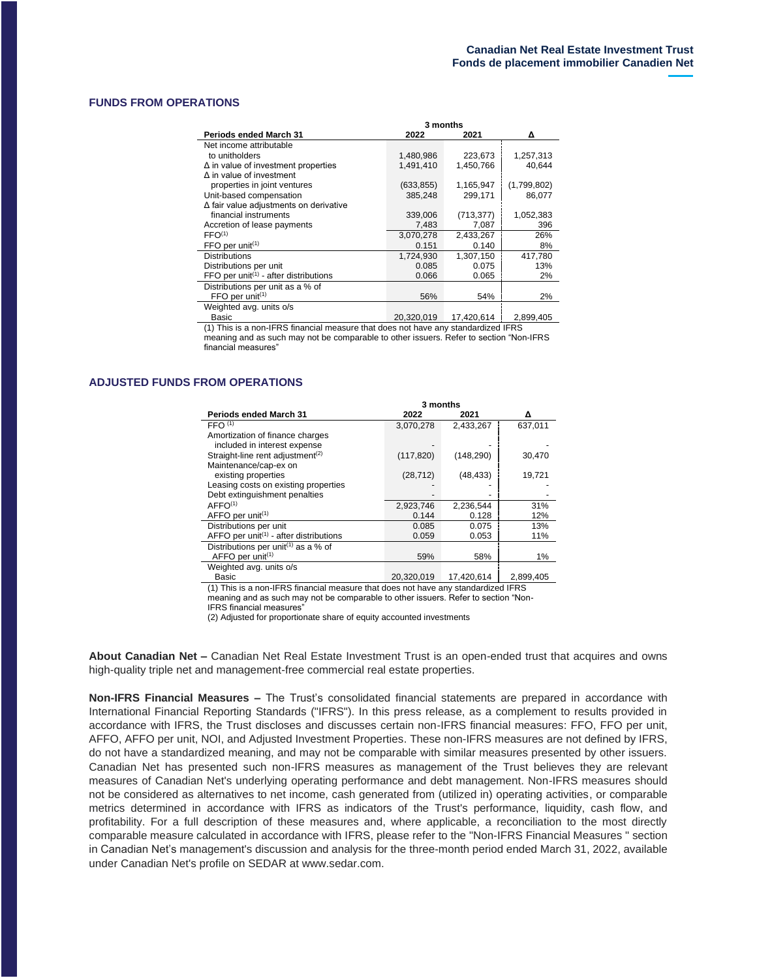#### **FUNDS FROM OPERATIONS**

|                                                                | 3 months   |            |             |
|----------------------------------------------------------------|------------|------------|-------------|
| <b>Periods ended March 31</b>                                  | 2022       | 2021       | Δ           |
| Net income attributable                                        |            |            |             |
| to unitholders                                                 | 1,480,986  | 223,673    | 1,257,313   |
| $\Delta$ in value of investment properties                     | 1,491,410  | 1,450,766  | 40,644      |
| $\Delta$ in value of investment                                |            |            |             |
| properties in joint ventures                                   | (633, 855) | 1,165,947  | (1,799,802) |
| Unit-based compensation                                        | 385,248    | 299,171    | 86,077      |
| $\Delta$ fair value adjustments on derivative                  |            |            |             |
| financial instruments                                          | 339,006    | (713, 377) | 1,052,383   |
| Accretion of lease payments                                    | 7,483      | 7,087      | 396         |
| FFO <sup>(1)</sup>                                             | 3,070,278  | 2,433,267  | 26%         |
| $FFO$ per unit <sup><math>(1)</math></sup>                     | 0.151      | 0.140      | 8%          |
| <b>Distributions</b>                                           | 1.724.930  | 1,307,150  | 417.780     |
| Distributions per unit                                         | 0.085      | 0.075      | 13%         |
| FFO per unit <sup><math>(1)</math></sup> - after distributions | 0.066      | 0.065      | 2%          |
| Distributions per unit as a % of                               |            |            |             |
| FFO per unit $(1)$                                             | 56%        | 54%        | 2%          |
| Weighted avg. units o/s                                        |            |            |             |
| <b>Pocio</b>                                                   | 20.220.010 | 17.1206611 | 2.900.405   |

 Basic 20,320,019 17,420,614 2,899,405 (1) This is a non-IFRS financial measure that does not have any standardized IFRS

meaning and as such may not be comparable to other issuers. Refer to section "Non-IFRS financial measures"

#### **ADJUSTED FUNDS FROM OPERATIONS**

|                                                                 | 3 months   |            |           |
|-----------------------------------------------------------------|------------|------------|-----------|
| <b>Periods ended March 31</b>                                   | 2022       | 2021       | Δ         |
| FFO <sup>(1)</sup>                                              | 3,070,278  | 2,433,267  | 637,011   |
| Amortization of finance charges                                 |            |            |           |
| included in interest expense                                    |            |            |           |
| Straight-line rent adjustment <sup>(2)</sup>                    | (117, 820) | (148, 290) | 30,470    |
| Maintenance/cap-ex on                                           |            |            |           |
| existing properties                                             | (28, 712)  | (48, 433)  | 19,721    |
| Leasing costs on existing properties                            |            |            |           |
| Debt extinguishment penalties                                   |            |            |           |
| AFFO <sup>(1)</sup>                                             | 2,923,746  | 2,236,544  | 31%       |
| AFFO per unit <sup>(1)</sup>                                    | 0.144      | 0.128      | 12%       |
| Distributions per unit                                          | 0.085      | 0.075      | 13%       |
| AFFO per unit <sup><math>(1)</math></sup> - after distributions | 0.059      | 0.053      | 11%       |
| Distributions per unit <sup>(1)</sup> as a % of                 |            |            |           |
| $AFFO$ per unit <sup><math>(1)</math></sup>                     | 59%        | 58%        | 1%        |
| Weighted avg. units o/s                                         |            |            |           |
| Basic                                                           | 20,320,019 | 17,420,614 | 2,899,405 |

(1) This is a non-IFRS financial measure that does not have any standardized IFRS meaning and as such may not be comparable to other issuers. Refer to section "Non-

IFRS financial measures"

(2) Adjusted for proportionate share of equity accounted investments

**About Canadian Net –** Canadian Net Real Estate Investment Trust is an open-ended trust that acquires and owns high-quality triple net and management-free commercial real estate properties.

**Non-IFRS Financial Measures –** The Trust's consolidated financial statements are prepared in accordance with International Financial Reporting Standards ("IFRS"). In this press release, as a complement to results provided in accordance with IFRS, the Trust discloses and discusses certain non-IFRS financial measures: FFO, FFO per unit, AFFO, AFFO per unit, NOI, and Adjusted Investment Properties. These non-IFRS measures are not defined by IFRS, do not have a standardized meaning, and may not be comparable with similar measures presented by other issuers. Canadian Net has presented such non-IFRS measures as management of the Trust believes they are relevant measures of Canadian Net's underlying operating performance and debt management. Non-IFRS measures should not be considered as alternatives to net income, cash generated from (utilized in) operating activities, or comparable metrics determined in accordance with IFRS as indicators of the Trust's performance, liquidity, cash flow, and profitability. For a full description of these measures and, where applicable, a reconciliation to the most directly comparable measure calculated in accordance with IFRS, please refer to the "Non-IFRS Financial Measures " section in Canadian Net's management's discussion and analysis for the three-month period ended March 31, 2022, available under Canadian Net's profile on SEDAR at www.sedar.com.